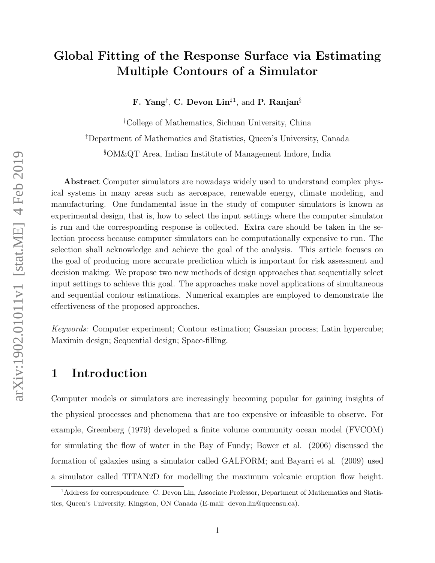# Global Fitting of the Response Surface via Estimating Multiple Contours of a Simulator

F. Yang<sup>†</sup>, C. Devon Lin<sup>‡1</sup>, and P. Ranjan<sup>§</sup>

†College of Mathematics, Sichuan University, China

‡Department of Mathematics and Statistics, Queen's University, Canada

§OM&QT Area, Indian Institute of Management Indore, India

Abstract Computer simulators are nowadays widely used to understand complex physical systems in many areas such as aerospace, renewable energy, climate modeling, and manufacturing. One fundamental issue in the study of computer simulators is known as experimental design, that is, how to select the input settings where the computer simulator is run and the corresponding response is collected. Extra care should be taken in the selection process because computer simulators can be computationally expensive to run. The selection shall acknowledge and achieve the goal of the analysis. This article focuses on the goal of producing more accurate prediction which is important for risk assessment and decision making. We propose two new methods of design approaches that sequentially select input settings to achieve this goal. The approaches make novel applications of simultaneous and sequential contour estimations. Numerical examples are employed to demonstrate the effectiveness of the proposed approaches.

Keywords: Computer experiment; Contour estimation; Gaussian process; Latin hypercube; Maximin design; Sequential design; Space-filling.

### 1 Introduction

Computer models or simulators are increasingly becoming popular for gaining insights of the physical processes and phenomena that are too expensive or infeasible to observe. For example, Greenberg (1979) developed a finite volume community ocean model (FVCOM) for simulating the flow of water in the Bay of Fundy; Bower et al. (2006) discussed the formation of galaxies using a simulator called GALFORM; and Bayarri et al. (2009) used a simulator called TITAN2D for modelling the maximum volcanic eruption flow height.

<sup>&</sup>lt;sup>1</sup>Address for correspondence: C. Devon Lin, Associate Professor, Department of Mathematics and Statistics, Queen's University, Kingston, ON Canada (E-mail: devon.lin@queensu.ca).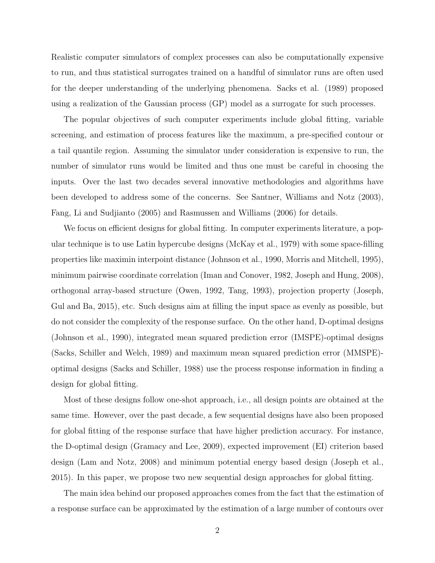Realistic computer simulators of complex processes can also be computationally expensive to run, and thus statistical surrogates trained on a handful of simulator runs are often used for the deeper understanding of the underlying phenomena. Sacks et al. (1989) proposed using a realization of the Gaussian process (GP) model as a surrogate for such processes.

The popular objectives of such computer experiments include global fitting, variable screening, and estimation of process features like the maximum, a pre-specified contour or a tail quantile region. Assuming the simulator under consideration is expensive to run, the number of simulator runs would be limited and thus one must be careful in choosing the inputs. Over the last two decades several innovative methodologies and algorithms have been developed to address some of the concerns. See Santner, Williams and Notz (2003), Fang, Li and Sudjianto (2005) and Rasmussen and Williams (2006) for details.

We focus on efficient designs for global fitting. In computer experiments literature, a popular technique is to use Latin hypercube designs (McKay et al., 1979) with some space-filling properties like maximin interpoint distance (Johnson et al., 1990, Morris and Mitchell, 1995), minimum pairwise coordinate correlation (Iman and Conover, 1982, Joseph and Hung, 2008), orthogonal array-based structure (Owen, 1992, Tang, 1993), projection property (Joseph, Gul and Ba, 2015), etc. Such designs aim at filling the input space as evenly as possible, but do not consider the complexity of the response surface. On the other hand, D-optimal designs (Johnson et al., 1990), integrated mean squared prediction error (IMSPE)-optimal designs (Sacks, Schiller and Welch, 1989) and maximum mean squared prediction error (MMSPE) optimal designs (Sacks and Schiller, 1988) use the process response information in finding a design for global fitting.

Most of these designs follow one-shot approach, i.e., all design points are obtained at the same time. However, over the past decade, a few sequential designs have also been proposed for global fitting of the response surface that have higher prediction accuracy. For instance, the D-optimal design (Gramacy and Lee, 2009), expected improvement (EI) criterion based design (Lam and Notz, 2008) and minimum potential energy based design (Joseph et al., 2015). In this paper, we propose two new sequential design approaches for global fitting.

The main idea behind our proposed approaches comes from the fact that the estimation of a response surface can be approximated by the estimation of a large number of contours over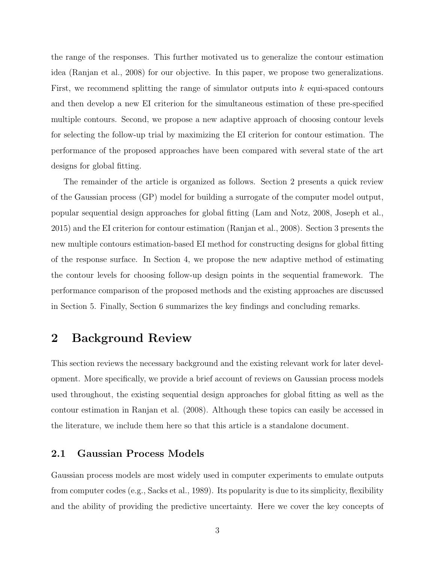the range of the responses. This further motivated us to generalize the contour estimation idea (Ranjan et al., 2008) for our objective. In this paper, we propose two generalizations. First, we recommend splitting the range of simulator outputs into k equi-spaced contours and then develop a new EI criterion for the simultaneous estimation of these pre-specified multiple contours. Second, we propose a new adaptive approach of choosing contour levels for selecting the follow-up trial by maximizing the EI criterion for contour estimation. The performance of the proposed approaches have been compared with several state of the art designs for global fitting.

The remainder of the article is organized as follows. Section 2 presents a quick review of the Gaussian process (GP) model for building a surrogate of the computer model output, popular sequential design approaches for global fitting (Lam and Notz, 2008, Joseph et al., 2015) and the EI criterion for contour estimation (Ranjan et al., 2008). Section 3 presents the new multiple contours estimation-based EI method for constructing designs for global fitting of the response surface. In Section 4, we propose the new adaptive method of estimating the contour levels for choosing follow-up design points in the sequential framework. The performance comparison of the proposed methods and the existing approaches are discussed in Section 5. Finally, Section 6 summarizes the key findings and concluding remarks.

## 2 Background Review

This section reviews the necessary background and the existing relevant work for later development. More specifically, we provide a brief account of reviews on Gaussian process models used throughout, the existing sequential design approaches for global fitting as well as the contour estimation in Ranjan et al. (2008). Although these topics can easily be accessed in the literature, we include them here so that this article is a standalone document.

#### 2.1 Gaussian Process Models

Gaussian process models are most widely used in computer experiments to emulate outputs from computer codes (e.g., Sacks et al., 1989). Its popularity is due to its simplicity, flexibility and the ability of providing the predictive uncertainty. Here we cover the key concepts of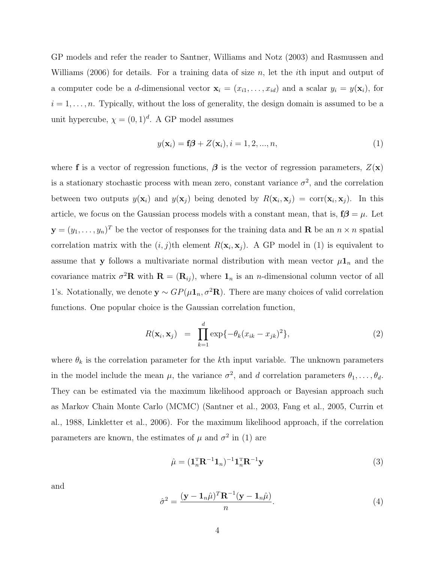GP models and refer the reader to Santner, Williams and Notz (2003) and Rasmussen and Williams (2006) for details. For a training data of size n, let the *i*th input and output of a computer code be a d-dimensional vector  $\mathbf{x}_i = (x_{i1}, \ldots, x_{id})$  and a scalar  $y_i = y(\mathbf{x}_i)$ , for  $i = 1, \ldots, n$ . Typically, without the loss of generality, the design domain is assumed to be a unit hypercube,  $\chi = (0,1)^d$ . A GP model assumes

$$
y(\mathbf{x}_i) = \mathbf{f}\boldsymbol{\beta} + Z(\mathbf{x}_i), i = 1, 2, ..., n,
$$
\n
$$
(1)
$$

where f is a vector of regression functions,  $\beta$  is the vector of regression parameters,  $Z(\mathbf{x})$ is a stationary stochastic process with mean zero, constant variance  $\sigma^2$ , and the correlation between two outputs  $y(\mathbf{x}_i)$  and  $y(\mathbf{x}_j)$  being denoted by  $R(\mathbf{x}_i, \mathbf{x}_j) = \text{corr}(\mathbf{x}_i, \mathbf{x}_j)$ . In this article, we focus on the Gaussian process models with a constant mean, that is,  $f\beta = \mu$ . Let  $\mathbf{y}=(y_1,\ldots,y_n)^T$  be the vector of responses for the training data and **R** be an  $n \times n$  spatial correlation matrix with the  $(i, j)$ <sup>th</sup> element  $R(\mathbf{x}_i, \mathbf{x}_j)$ . A GP model in (1) is equivalent to assume that y follows a multivariate normal distribution with mean vector  $\mu_{n}$  and the covariance matrix  $\sigma^2 \mathbf{R}$  with  $\mathbf{R} = (\mathbf{R}_{ij})$ , where  $\mathbf{1}_n$  is an *n*-dimensional column vector of all 1's. Notationally, we denote  $\mathbf{y} \sim GP(\mu \mathbf{1}_n, \sigma^2 \mathbf{R})$ . There are many choices of valid correlation functions. One popular choice is the Gaussian correlation function,

$$
R(\mathbf{x}_i, \mathbf{x}_j) = \prod_{k=1}^d \exp\{-\theta_k (x_{ik} - x_{jk})^2\},\tag{2}
$$

where  $\theta_k$  is the correlation parameter for the kth input variable. The unknown parameters in the model include the mean  $\mu$ , the variance  $\sigma^2$ , and d correlation parameters  $\theta_1, \ldots, \theta_d$ . They can be estimated via the maximum likelihood approach or Bayesian approach such as Markov Chain Monte Carlo (MCMC) (Santner et al., 2003, Fang et al., 2005, Currin et al., 1988, Linkletter et al., 2006). For the maximum likelihood approach, if the correlation parameters are known, the estimates of  $\mu$  and  $\sigma^2$  in (1) are

$$
\hat{\mu} = (\mathbf{1}_n^{\mathrm{T}} \mathbf{R}^{-1} \mathbf{1}_n)^{-1} \mathbf{1}_n^{\mathrm{T}} \mathbf{R}^{-1} \mathbf{y}
$$
\n(3)

and

$$
\hat{\sigma}^2 = \frac{(\mathbf{y} - \mathbf{1}_n \hat{\mu})^T \mathbf{R}^{-1} (\mathbf{y} - \mathbf{1}_n \hat{\mu})}{n}.
$$
\n(4)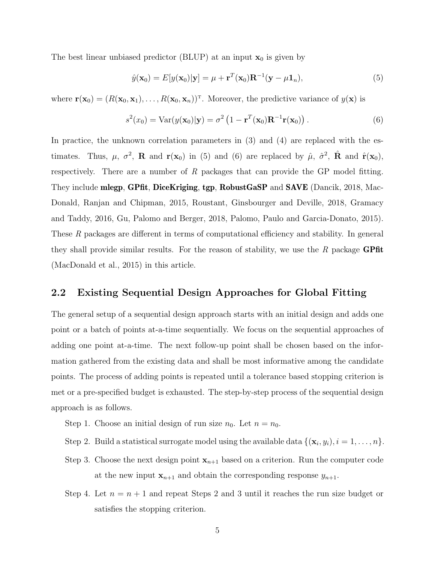The best linear unbiased predictor (BLUP) at an input  $x_0$  is given by

$$
\hat{y}(\mathbf{x}_0) = E[y(\mathbf{x}_0)|\mathbf{y}] = \mu + \mathbf{r}^T(\mathbf{x}_0)\mathbf{R}^{-1}(\mathbf{y} - \mu \mathbf{1}_n),
$$
\n(5)

where  $\mathbf{r}(\mathbf{x}_0) = (R(\mathbf{x}_0, \mathbf{x}_1), \dots, R(\mathbf{x}_0, \mathbf{x}_n))^T$ . Moreover, the predictive variance of  $y(\mathbf{x})$  is

$$
s^{2}(x_{0}) = \text{Var}(y(\mathbf{x}_{0})|\mathbf{y}) = \sigma^{2} (1 - \mathbf{r}^{T}(\mathbf{x}_{0})\mathbf{R}^{-1}\mathbf{r}(\mathbf{x}_{0})).
$$
\n(6)

In practice, the unknown correlation parameters in  $(3)$  and  $(4)$  are replaced with the estimates. Thus,  $\mu$ ,  $\sigma^2$ , **R** and **r**(**x**<sub>0</sub>) in (5) and (6) are replaced by  $\hat{\mu}$ ,  $\hat{\sigma}^2$ , **R** and **r**(**x**<sub>0</sub>), respectively. There are a number of  $R$  packages that can provide the GP model fitting. They include mlegp, GPfit, DiceKriging, tgp, RobustGaSP and SAVE (Dancik, 2018, Mac-Donald, Ranjan and Chipman, 2015, Roustant, Ginsbourger and Deville, 2018, Gramacy and Taddy, 2016, Gu, Palomo and Berger, 2018, Palomo, Paulo and Garcia-Donato, 2015). These R packages are different in terms of computational efficiency and stability. In general they shall provide similar results. For the reason of stability, we use the  $R$  package GPfit (MacDonald et al., 2015) in this article.

#### 2.2 Existing Sequential Design Approaches for Global Fitting

The general setup of a sequential design approach starts with an initial design and adds one point or a batch of points at-a-time sequentially. We focus on the sequential approaches of adding one point at-a-time. The next follow-up point shall be chosen based on the information gathered from the existing data and shall be most informative among the candidate points. The process of adding points is repeated until a tolerance based stopping criterion is met or a pre-specified budget is exhausted. The step-by-step process of the sequential design approach is as follows.

- Step 1. Choose an initial design of run size  $n_0$ . Let  $n = n_0$ .
- Step 2. Build a statistical surrogate model using the available data  $\{(\mathbf{x}_i, y_i), i = 1, \ldots, n\}$ .
- Step 3. Choose the next design point  $x_{n+1}$  based on a criterion. Run the computer code at the new input  $x_{n+1}$  and obtain the corresponding response  $y_{n+1}$ .
- Step 4. Let  $n = n + 1$  and repeat Steps 2 and 3 until it reaches the run size budget or satisfies the stopping criterion.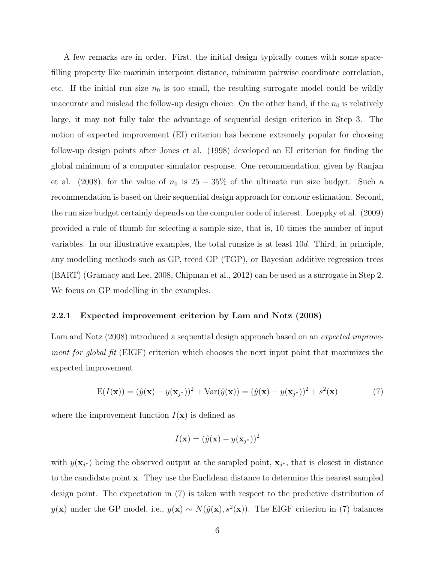A few remarks are in order. First, the initial design typically comes with some spacefilling property like maximin interpoint distance, minimum pairwise coordinate correlation, etc. If the initial run size  $n_0$  is too small, the resulting surrogate model could be wildly inaccurate and mislead the follow-up design choice. On the other hand, if the  $n_0$  is relatively large, it may not fully take the advantage of sequential design criterion in Step 3. The notion of expected improvement (EI) criterion has become extremely popular for choosing follow-up design points after Jones et al. (1998) developed an EI criterion for finding the global minimum of a computer simulator response. One recommendation, given by Ranjan et al. (2008), for the value of  $n_0$  is 25 − 35% of the ultimate run size budget. Such a recommendation is based on their sequential design approach for contour estimation. Second, the run size budget certainly depends on the computer code of interest. Loeppky et al. (2009) provided a rule of thumb for selecting a sample size, that is, 10 times the number of input variables. In our illustrative examples, the total runsize is at least 10d. Third, in principle, any modelling methods such as GP, treed GP (TGP), or Bayesian additive regression trees (BART) (Gramacy and Lee, 2008, Chipman et al., 2012) can be used as a surrogate in Step 2. We focus on GP modelling in the examples.

#### 2.2.1 Expected improvement criterion by Lam and Notz (2008)

Lam and Notz (2008) introduced a sequential design approach based on an *expected improve*ment for global fit (EIGF) criterion which chooses the next input point that maximizes the expected improvement

$$
E(I(\mathbf{x})) = (\hat{y}(\mathbf{x}) - y(\mathbf{x}_{j^*}))^2 + Var(\hat{y}(\mathbf{x})) = (\hat{y}(\mathbf{x}) - y(\mathbf{x}_{j^*}))^2 + s^2(\mathbf{x})
$$
(7)

where the improvement function  $I(\mathbf{x})$  is defined as

$$
I(\mathbf{x}) = (\hat{y}(\mathbf{x}) - y(\mathbf{x}_{j^*}))^2
$$

with  $y(\mathbf{x}_{j^*})$  being the observed output at the sampled point,  $\mathbf{x}_{j^*}$ , that is closest in distance to the candidate point x. They use the Euclidean distance to determine this nearest sampled design point. The expectation in (7) is taken with respect to the predictive distribution of  $y(\mathbf{x})$  under the GP model, i.e.,  $y(\mathbf{x}) \sim N(\hat{y}(\mathbf{x}), s^2(\mathbf{x}))$ . The EIGF criterion in (7) balances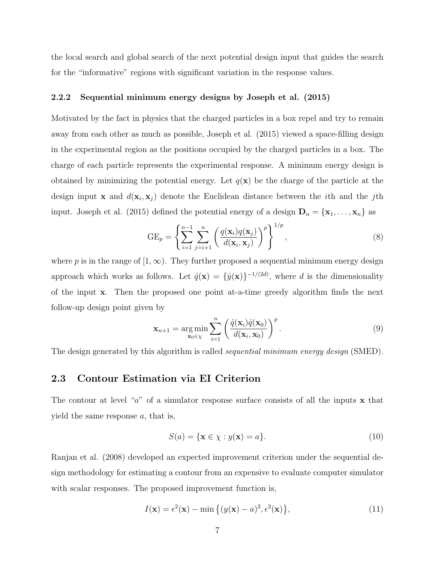the local search and global search of the next potential design input that guides the search for the "informative" regions with significant variation in the response values.

#### 2.2.2 Sequential minimum energy designs by Joseph et al. (2015)

Motivated by the fact in physics that the charged particles in a box repel and try to remain away from each other as much as possible, Joseph et al. (2015) viewed a space-filling design in the experimental region as the positions occupied by the charged particles in a box. The charge of each particle represents the experimental response. A minimum energy design is obtained by minimizing the potential energy. Let  $q(\mathbf{x})$  be the charge of the particle at the design input **x** and  $d(\mathbf{x}_i, \mathbf{x}_j)$  denote the Euclidean distance between the *i*th and the *j*th input. Joseph et al. (2015) defined the potential energy of a design  $\mathbf{D}_n = {\mathbf{x}_1, \dots, \mathbf{x}_n}$  as

$$
GE_p = \left\{ \sum_{i=1}^{n-1} \sum_{j=i+1}^n \left( \frac{q(\mathbf{x}_i)q(\mathbf{x}_j)}{d(\mathbf{x}_i, \mathbf{x}_j)} \right)^p \right\}^{1/p},\tag{8}
$$

where p is in the range of  $[1,\infty)$ . They further proposed a sequential minimum energy design approach which works as follows. Let  $\hat{q}(\mathbf{x}) = {\hat{y}(\mathbf{x})}^{-1/(2d)}$ , where d is the dimensionality of the input x. Then the proposed one point at-a-time greedy algorithm finds the next follow-up design point given by

$$
\mathbf{x}_{n+1} = \underset{\mathbf{x}_0 \in \chi}{\arg \min} \sum_{i=1}^n \left( \frac{\hat{q}(\mathbf{x}_i)\hat{q}(\mathbf{x}_0)}{d(\mathbf{x}_i, \mathbf{x}_0)} \right)^p.
$$
 (9)

The design generated by this algorithm is called *sequential minimum energy design* (SMED).

#### 2.3 Contour Estimation via EI Criterion

The contour at level " $a$ " of a simulator response surface consists of all the inputs  $x$  that yield the same response  $a$ , that is,

$$
S(a) = \{ \mathbf{x} \in \chi : y(\mathbf{x}) = a \}. \tag{10}
$$

Ranjan et al. (2008) developed an expected improvement criterion under the sequential design methodology for estimating a contour from an expensive to evaluate computer simulator with scalar responses. The proposed improvement function is,

$$
I(\mathbf{x}) = \epsilon^2(\mathbf{x}) - \min\left\{ (y(\mathbf{x}) - a)^2, \epsilon^2(\mathbf{x}) \right\},\tag{11}
$$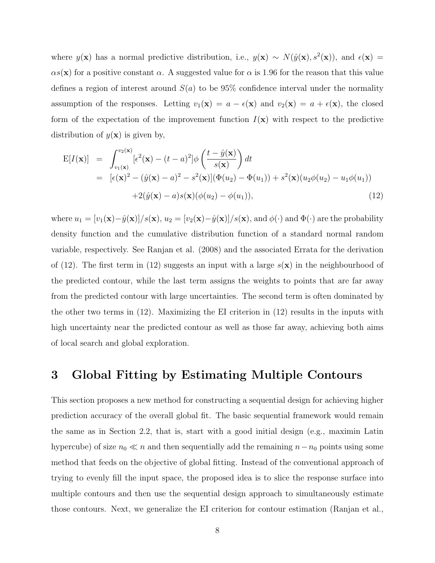where  $y(\mathbf{x})$  has a normal predictive distribution, i.e.,  $y(\mathbf{x}) \sim N(\hat{y}(\mathbf{x}), s^2(\mathbf{x}))$ , and  $\epsilon(\mathbf{x}) =$  $\alpha s(\mathbf{x})$  for a positive constant  $\alpha$ . A suggested value for  $\alpha$  is 1.96 for the reason that this value defines a region of interest around  $S(a)$  to be 95% confidence interval under the normality assumption of the responses. Letting  $v_1(\mathbf{x}) = a - \epsilon(\mathbf{x})$  and  $v_2(\mathbf{x}) = a + \epsilon(\mathbf{x})$ , the closed form of the expectation of the improvement function  $I(\mathbf{x})$  with respect to the predictive distribution of  $y(x)$  is given by,

$$
E[I(\mathbf{x})] = \int_{v_1(\mathbf{x})}^{v_2(\mathbf{x})} [\epsilon^2(\mathbf{x}) - (t - a)^2] \phi\left(\frac{t - \hat{y}(\mathbf{x})}{s(\mathbf{x})}\right) dt
$$
  
\n
$$
= [\epsilon(\mathbf{x})^2 - (\hat{y}(\mathbf{x}) - a)^2 - s^2(\mathbf{x})] (\Phi(u_2) - \Phi(u_1)) + s^2(\mathbf{x}) (u_2 \phi(u_2) - u_1 \phi(u_1))
$$
  
\n
$$
+ 2(\hat{y}(\mathbf{x}) - a) s(\mathbf{x}) (\phi(u_2) - \phi(u_1)), \tag{12}
$$

where  $u_1 = [v_1(\mathbf{x}) - \hat{y}(\mathbf{x})]/s(\mathbf{x}), u_2 = [v_2(\mathbf{x}) - \hat{y}(\mathbf{x})]/s(\mathbf{x}),$  and  $\phi(\cdot)$  and  $\Phi(\cdot)$  are the probability density function and the cumulative distribution function of a standard normal random variable, respectively. See Ranjan et al. (2008) and the associated Errata for the derivation of (12). The first term in (12) suggests an input with a large  $s(\mathbf{x})$  in the neighbourhood of the predicted contour, while the last term assigns the weights to points that are far away from the predicted contour with large uncertainties. The second term is often dominated by the other two terms in (12). Maximizing the EI criterion in (12) results in the inputs with high uncertainty near the predicted contour as well as those far away, achieving both aims of local search and global exploration.

### 3 Global Fitting by Estimating Multiple Contours

This section proposes a new method for constructing a sequential design for achieving higher prediction accuracy of the overall global fit. The basic sequential framework would remain the same as in Section 2.2, that is, start with a good initial design (e.g., maximin Latin hypercube) of size  $n_0 \ll n$  and then sequentially add the remaining  $n-n_0$  points using some method that feeds on the objective of global fitting. Instead of the conventional approach of trying to evenly fill the input space, the proposed idea is to slice the response surface into multiple contours and then use the sequential design approach to simultaneously estimate those contours. Next, we generalize the EI criterion for contour estimation (Ranjan et al.,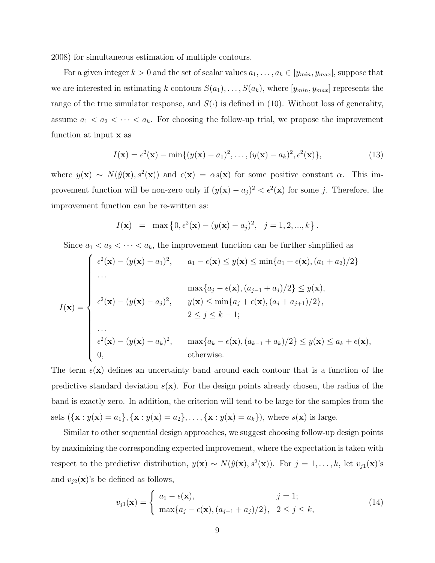2008) for simultaneous estimation of multiple contours.

For a given integer  $k > 0$  and the set of scalar values  $a_1, \ldots, a_k \in [y_{min}, y_{max}]$ , suppose that we are interested in estimating k contours  $S(a_1), \ldots, S(a_k)$ , where  $[y_{min}, y_{max}]$  represents the range of the true simulator response, and  $S(\cdot)$  is defined in (10). Without loss of generality, assume  $a_1 < a_2 < \cdots < a_k$ . For choosing the follow-up trial, we propose the improvement function at input x as

$$
I(\mathbf{x}) = \epsilon^2(\mathbf{x}) - \min\{(y(\mathbf{x}) - a_1)^2, \dots, (y(\mathbf{x}) - a_k)^2, \epsilon^2(\mathbf{x})\},\tag{13}
$$

where  $y(\mathbf{x}) \sim N(\hat{y}(\mathbf{x}), s^2(\mathbf{x}))$  and  $\epsilon(\mathbf{x}) = \alpha s(\mathbf{x})$  for some positive constant  $\alpha$ . This improvement function will be non-zero only if  $(y(\mathbf{x}) - a_j)^2 < \epsilon^2(\mathbf{x})$  for some j. Therefore, the improvement function can be re-written as:

$$
I(\mathbf{x}) = \max \left\{ 0, \epsilon^2(\mathbf{x}) - (y(\mathbf{x}) - a_j)^2, \ j = 1, 2, ..., k \right\}.
$$

Since  $a_1 < a_2 < \cdots < a_k$ , the improvement function can be further simplified as

$$
I(\mathbf{x}) = \begin{cases} \epsilon^{2}(\mathbf{x}) - (y(\mathbf{x}) - a_{1})^{2}, & a_{1} - \epsilon(\mathbf{x}) \leq y(\mathbf{x}) \leq \min\{a_{1} + \epsilon(\mathbf{x}), (a_{1} + a_{2})/2\} \\ \cdots & \max\{a_{j} - \epsilon(\mathbf{x}), (a_{j-1} + a_{j})/2\} \leq y(\mathbf{x}), \\ \epsilon^{2}(\mathbf{x}) - (y(\mathbf{x}) - a_{j})^{2}, & y(\mathbf{x}) \leq \min\{a_{j} + \epsilon(\mathbf{x}), (a_{j} + a_{j+1})/2\}, \\ 2 \leq j \leq k - 1; \\ \cdots & \epsilon^{2}(\mathbf{x}) - (y(\mathbf{x}) - a_{k})^{2}, & \max\{a_{k} - \epsilon(\mathbf{x}), (a_{k-1} + a_{k})/2\} \leq y(\mathbf{x}) \leq a_{k} + \epsilon(\mathbf{x}), \\ 0, & \text{otherwise.} \end{cases}
$$

The term  $\epsilon(\mathbf{x})$  defines an uncertainty band around each contour that is a function of the predictive standard deviation  $s(\mathbf{x})$ . For the design points already chosen, the radius of the band is exactly zero. In addition, the criterion will tend to be large for the samples from the sets  $({\{x : y(x) = a_1\}, \{x : y(x) = a_2\}, \ldots, \{x : y(x) = a_k\}})$ , where  $s(x)$  is large.

Similar to other sequential design approaches, we suggest choosing follow-up design points by maximizing the corresponding expected improvement, where the expectation is taken with respect to the predictive distribution,  $y(\mathbf{x}) \sim N(\hat{y}(\mathbf{x}), s^2(\mathbf{x}))$ . For  $j = 1, \ldots, k$ , let  $v_{j1}(\mathbf{x})$ 's and  $v_{j2}(\mathbf{x})$ 's be defined as follows,

$$
v_{j1}(\mathbf{x}) = \begin{cases} a_1 - \epsilon(\mathbf{x}), & j = 1; \\ \max\{a_j - \epsilon(\mathbf{x}), (a_{j-1} + a_j)/2\}, & 2 \le j \le k, \end{cases}
$$
(14)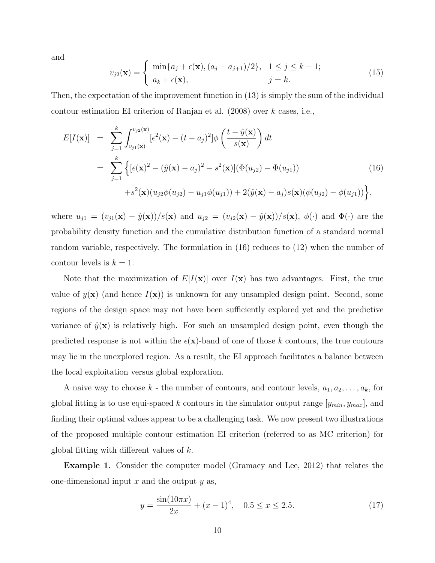and

$$
v_{j2}(\mathbf{x}) = \begin{cases} \min\{a_j + \epsilon(\mathbf{x}), (a_j + a_{j+1})/2\}, & 1 \le j \le k - 1; \\ a_k + \epsilon(\mathbf{x}), & j = k. \end{cases}
$$
(15)

Then, the expectation of the improvement function in (13) is simply the sum of the individual contour estimation EI criterion of Ranjan et al.  $(2008)$  over k cases, i.e.,

$$
E[I(\mathbf{x})] = \sum_{j=1}^{k} \int_{v_{j1}(\mathbf{x})}^{v_{j2}(\mathbf{x})} [\epsilon^{2}(\mathbf{x}) - (t - a_{j})^{2}] \phi\left(\frac{t - \hat{y}(\mathbf{x})}{s(\mathbf{x})}\right) dt
$$
  
\n
$$
= \sum_{j=1}^{k} \left\{ [\epsilon(\mathbf{x})^{2} - (\hat{y}(\mathbf{x}) - a_{j})^{2} - s^{2}(\mathbf{x})] (\Phi(u_{j2}) - \Phi(u_{j1})) + s^{2}(\mathbf{x}) (u_{j2}\phi(u_{j2}) - u_{j1}\phi(u_{j1})) + 2(\hat{y}(\mathbf{x}) - a_{j})s(\mathbf{x}) (\phi(u_{j2}) - \phi(u_{j1})) \right\},
$$
\n(16)

where  $u_{j1} = (v_{j1}(\mathbf{x}) - \hat{y}(\mathbf{x}))/s(\mathbf{x})$  and  $u_{j2} = (v_{j2}(\mathbf{x}) - \hat{y}(\mathbf{x}))/s(\mathbf{x})$ ,  $\phi(\cdot)$  and  $\Phi(\cdot)$  are the probability density function and the cumulative distribution function of a standard normal random variable, respectively. The formulation in (16) reduces to (12) when the number of contour levels is  $k = 1$ .

Note that the maximization of  $E[I(x)]$  over  $I(x)$  has two advantages. First, the true value of  $y(\mathbf{x})$  (and hence  $I(\mathbf{x})$ ) is unknown for any unsampled design point. Second, some regions of the design space may not have been sufficiently explored yet and the predictive variance of  $\hat{y}(\mathbf{x})$  is relatively high. For such an unsampled design point, even though the predicted response is not within the  $\epsilon(\mathbf{x})$ -band of one of those k contours, the true contours may lie in the unexplored region. As a result, the EI approach facilitates a balance between the local exploitation versus global exploration.

A naive way to choose  $k$  - the number of contours, and contour levels,  $a_1, a_2, \ldots, a_k$ , for global fitting is to use equi-spaced k contours in the simulator output range  $[y_{min}, y_{max}]$ , and finding their optimal values appear to be a challenging task. We now present two illustrations of the proposed multiple contour estimation EI criterion (referred to as MC criterion) for global fitting with different values of  $k$ .

Example 1. Consider the computer model (Gramacy and Lee, 2012) that relates the one-dimensional input  $x$  and the output  $y$  as,

$$
y = \frac{\sin(10\pi x)}{2x} + (x - 1)^4, \quad 0.5 \le x \le 2.5. \tag{17}
$$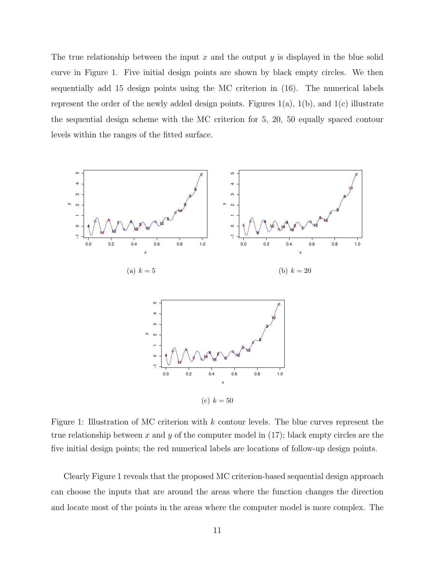The true relationship between the input x and the output y is displayed in the blue solid curve in Figure 1. Five initial design points are shown by black empty circles. We then sequentially add 15 design points using the MC criterion in (16). The numerical labels represent the order of the newly added design points. Figures  $1(a)$ ,  $1(b)$ , and  $1(c)$  illustrate the sequential design scheme with the MC criterion for 5, 20, 50 equally spaced contour levels within the ranges of the fitted surface.



Figure 1: Illustration of MC criterion with  $k$  contour levels. The blue curves represent the true relationship between x and y of the computer model in  $(17)$ ; black empty circles are the five initial design points; the red numerical labels are locations of follow-up design points.

Clearly Figure 1 reveals that the proposed MC criterion-based sequential design approach can choose the inputs that are around the areas where the function changes the direction and locate most of the points in the areas where the computer model is more complex. The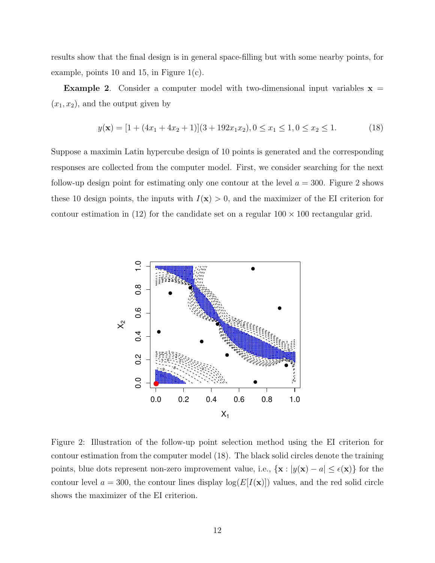results show that the final design is in general space-filling but with some nearby points, for example, points 10 and 15, in Figure  $1(c)$ .

**Example 2.** Consider a computer model with two-dimensional input variables  $x =$  $(x_1, x_2)$ , and the output given by

$$
y(\mathbf{x}) = [1 + (4x_1 + 4x_2 + 1)](3 + 192x_1x_2), 0 \le x_1 \le 1, 0 \le x_2 \le 1.
$$
 (18)

Suppose a maximin Latin hypercube design of 10 points is generated and the corresponding responses are collected from the computer model. First, we consider searching for the next follow-up design point for estimating only one contour at the level  $a = 300$ . Figure 2 shows these 10 design points, the inputs with  $I(\mathbf{x}) > 0$ , and the maximizer of the EI criterion for contour estimation in (12) for the candidate set on a regular  $100 \times 100$  rectangular grid.



Figure 2: Illustration of the follow-up point selection method using the EI criterion for contour estimation from the computer model (18). The black solid circles denote the training points, blue dots represent non-zero improvement value, i.e.,  $\{x : |y(x) - a| \leq \epsilon(x)\}\)$  for the contour level  $a = 300$ , the contour lines display  $log(E[I(x)])$  values, and the red solid circle shows the maximizer of the EI criterion.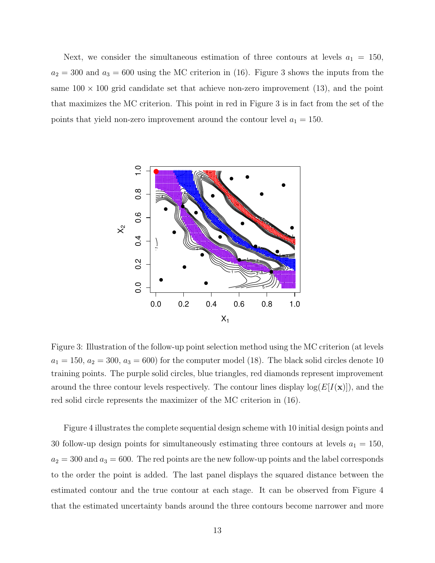Next, we consider the simultaneous estimation of three contours at levels  $a_1 = 150$ ,  $a_2 = 300$  and  $a_3 = 600$  using the MC criterion in (16). Figure 3 shows the inputs from the same  $100 \times 100$  grid candidate set that achieve non-zero improvement (13), and the point that maximizes the MC criterion. This point in red in Figure 3 is in fact from the set of the points that yield non-zero improvement around the contour level  $a_1 = 150$ .



Figure 3: Illustration of the follow-up point selection method using the MC criterion (at levels  $a_1 = 150, a_2 = 300, a_3 = 600$  for the computer model (18). The black solid circles denote 10 training points. The purple solid circles, blue triangles, red diamonds represent improvement around the three contour levels respectively. The contour lines display  $log(E[I(x)])$ , and the red solid circle represents the maximizer of the MC criterion in (16).

Figure 4 illustrates the complete sequential design scheme with 10 initial design points and 30 follow-up design points for simultaneously estimating three contours at levels  $a_1 = 150$ ,  $a_2 = 300$  and  $a_3 = 600$ . The red points are the new follow-up points and the label corresponds to the order the point is added. The last panel displays the squared distance between the estimated contour and the true contour at each stage. It can be observed from Figure 4 that the estimated uncertainty bands around the three contours become narrower and more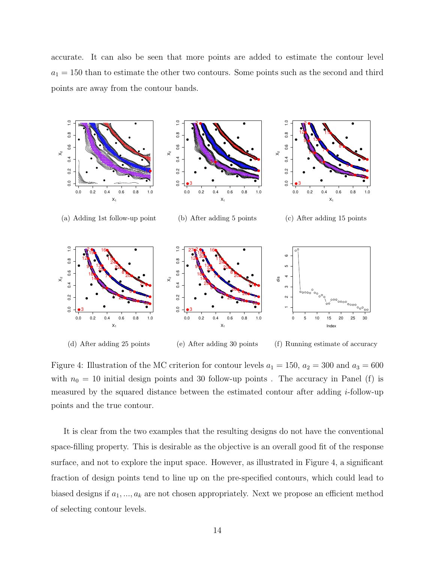accurate. It can also be seen that more points are added to estimate the contour level  $a_1 = 150$  than to estimate the other two contours. Some points such as the second and third points are away from the contour bands.



(d) After adding 25 points

(f) Running estimate of accuracy

Figure 4: Illustration of the MC criterion for contour levels  $a_1 = 150$ ,  $a_2 = 300$  and  $a_3 = 600$ with  $n_0 = 10$  initial design points and 30 follow-up points. The accuracy in Panel (f) is measured by the squared distance between the estimated contour after adding i-follow-up points and the true contour.

It is clear from the two examples that the resulting designs do not have the conventional space-filling property. This is desirable as the objective is an overall good fit of the response surface, and not to explore the input space. However, as illustrated in Figure 4, a significant fraction of design points tend to line up on the pre-specified contours, which could lead to biased designs if  $a_1, ..., a_k$  are not chosen appropriately. Next we propose an efficient method of selecting contour levels.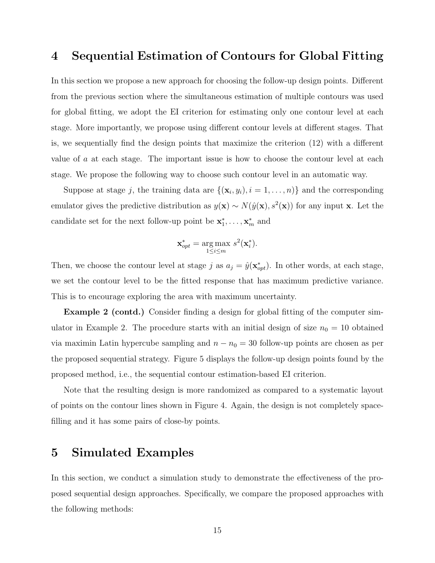## 4 Sequential Estimation of Contours for Global Fitting

In this section we propose a new approach for choosing the follow-up design points. Different from the previous section where the simultaneous estimation of multiple contours was used for global fitting, we adopt the EI criterion for estimating only one contour level at each stage. More importantly, we propose using different contour levels at different stages. That is, we sequentially find the design points that maximize the criterion (12) with a different value of a at each stage. The important issue is how to choose the contour level at each stage. We propose the following way to choose such contour level in an automatic way.

Suppose at stage j, the training data are  $\{(\mathbf{x}_i, y_i), i = 1, \dots, n\}$  and the corresponding emulator gives the predictive distribution as  $y(\mathbf{x}) \sim N(\hat{y}(\mathbf{x}), s^2(\mathbf{x}))$  for any input x. Let the candidate set for the next follow-up point be  $x_1^*, \ldots, x_m^*$  and

$$
\mathbf{x}_{opt}^* = \underset{1 \le i \le m}{\arg \max} \ s^2(\mathbf{x}_i^*).
$$

Then, we choose the contour level at stage j as  $a_j = \hat{y}(\mathbf{x}_{opt}^*)$ . In other words, at each stage, we set the contour level to be the fitted response that has maximum predictive variance. This is to encourage exploring the area with maximum uncertainty.

**Example 2 (contd.)** Consider finding a design for global fitting of the computer simulator in Example 2. The procedure starts with an initial design of size  $n_0 = 10$  obtained via maximin Latin hypercube sampling and  $n - n_0 = 30$  follow-up points are chosen as per the proposed sequential strategy. Figure 5 displays the follow-up design points found by the proposed method, i.e., the sequential contour estimation-based EI criterion.

Note that the resulting design is more randomized as compared to a systematic layout of points on the contour lines shown in Figure 4. Again, the design is not completely spacefilling and it has some pairs of close-by points.

### 5 Simulated Examples

In this section, we conduct a simulation study to demonstrate the effectiveness of the proposed sequential design approaches. Specifically, we compare the proposed approaches with the following methods: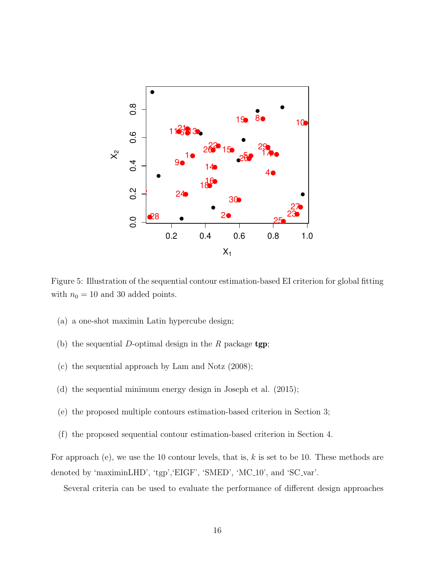

Figure 5: Illustration of the sequential contour estimation-based EI criterion for global fitting with  $n_0 = 10$  and 30 added points.

- (a) a one-shot maximin Latin hypercube design;
- (b) the sequential D-optimal design in the R package  $tgp$ ;
- (c) the sequential approach by Lam and Notz (2008);
- (d) the sequential minimum energy design in Joseph et al. (2015);
- (e) the proposed multiple contours estimation-based criterion in Section 3;
- (f) the proposed sequential contour estimation-based criterion in Section 4.

For approach (e), we use the 10 contour levels, that is,  $k$  is set to be 10. These methods are denoted by 'maximinLHD', 'tgp', 'EIGF', 'SMED', 'MC<sub>10</sub>', and 'SC<sub>-var</sub>'.

Several criteria can be used to evaluate the performance of different design approaches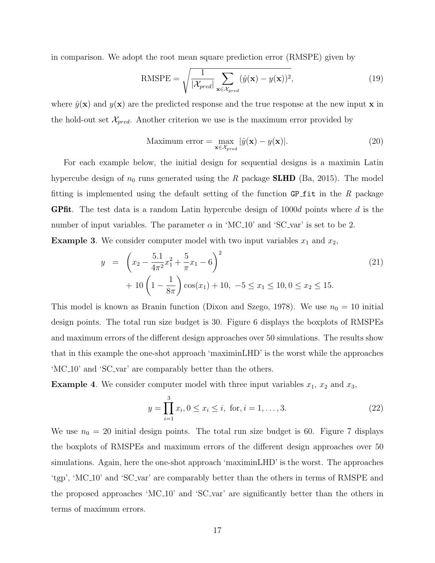in comparison. We adopt the root mean square prediction error (RMSPE) given by

RMSPE = 
$$
\sqrt{\frac{1}{|\mathcal{X}_{pred}|} \sum_{\mathbf{x} \in \mathcal{X}_{pred}} (\hat{y}(\mathbf{x}) - y(\mathbf{x}))^2},
$$
(19)

where  $\hat{y}(\mathbf{x})$  and  $y(\mathbf{x})$  are the predicted response and the true response at the new input x in the hold-out set  $\mathcal{X}_{pred}$ . Another criterion we use is the maximum error provided by

Maximum error = 
$$
\max_{\mathbf{x} \in \mathcal{X}_{pred}} |\hat{y}(\mathbf{x}) - y(\mathbf{x})|.
$$
 (20)

For each example below, the initial design for sequential designs is a maximin Latin hypercube design of  $n_0$  runs generated using the R package **SLHD** (Ba, 2015). The model fitting is implemented using the default setting of the function GP fit in the R package **GPfit**. The test data is a random Latin hypercube design of  $1000d$  points where d is the number of input variables. The parameter  $\alpha$  in 'MC<sub>-10</sub>' and 'SC<sub>-var</sub>' is set to be 2. **Example 3.** We consider computer model with two input variables  $x_1$  and  $x_2$ 

$$
\frac{1}{2} \left( \frac{51}{2} \right)^2
$$

$$
y = \left(x_2 - \frac{5.1}{4\pi^2}x_1^2 + \frac{5}{\pi}x_1 - 6\right)^2
$$
  
+  $10\left(1 - \frac{1}{8\pi}\right)\cos(x_1) + 10, -5 \le x_1 \le 10, 0 \le x_2 \le 15.$  (21)

This model is known as Branin function (Dixon and Szego, 1978). We use  $n_0 = 10$  initial design points. The total run size budget is 30. Figure 6 displays the boxplots of RMSPEs and maximum errors of the different design approaches over 50 simulations. The results show that in this example the one-shot approach 'maximinLHD' is the worst while the approaches 'MC 10' and 'SC var' are comparably better than the others.

**Example 4.** We consider computer model with three input variables  $x_1$ ,  $x_2$  and  $x_3$ ,

$$
y = \prod_{i=1}^{3} x_i, 0 \le x_i \le i, \text{ for, } i = 1, \dots, 3.
$$
 (22)

We use  $n_0 = 20$  initial design points. The total run size budget is 60. Figure 7 displays the boxplots of RMSPEs and maximum errors of the different design approaches over 50 simulations. Again, here the one-shot approach 'maximinLHD' is the worst. The approaches 'tgp', 'MC 10' and 'SC var' are comparably better than the others in terms of RMSPE and the proposed approaches 'MC 10' and 'SC var' are significantly better than the others in terms of maximum errors.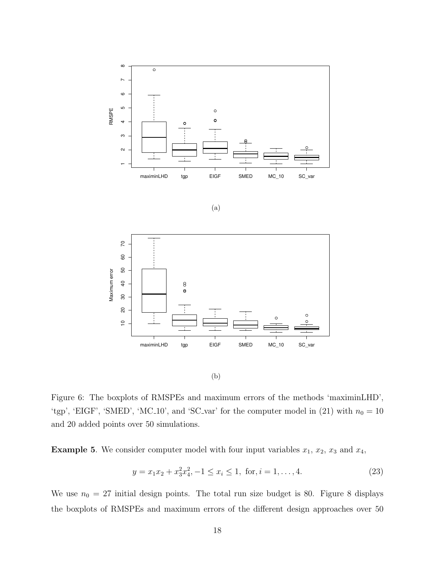





(b)

Figure 6: The boxplots of RMSPEs and maximum errors of the methods 'maximinLHD', 'tgp', 'EIGF', 'SMED', 'MC<sub>-10</sub>', and 'SC<sub>-</sub>var' for the computer model in (21) with  $n_0 = 10$ and 20 added points over 50 simulations.

**Example 5.** We consider computer model with four input variables  $x_1$ ,  $x_2$ ,  $x_3$  and  $x_4$ ,

$$
y = x_1 x_2 + x_3^2 x_4^2, -1 \le x_i \le 1, \text{ for, } i = 1, \dots, 4.
$$
 (23)

We use  $n_0 = 27$  initial design points. The total run size budget is 80. Figure 8 displays the boxplots of RMSPEs and maximum errors of the different design approaches over 50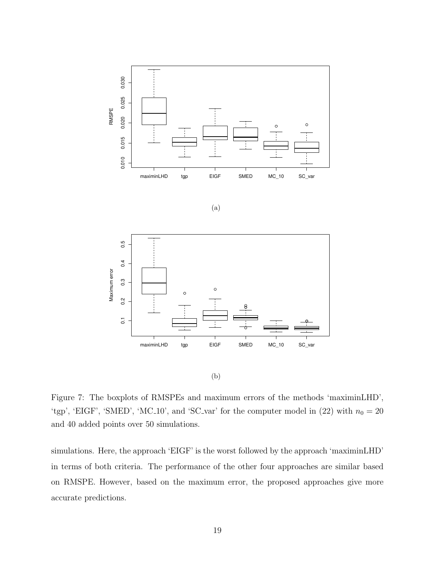

$$
(\mathrm{a})
$$



(b)

Figure 7: The boxplots of RMSPEs and maximum errors of the methods 'maximinLHD', 'tgp', 'EIGF', 'SMED', 'MC<sub>-10</sub>', and 'SC<sub>-</sub>var' for the computer model in  $(22)$  with  $n_0 = 20$ and 40 added points over 50 simulations.

simulations. Here, the approach 'EIGF' is the worst followed by the approach 'maximinLHD' in terms of both criteria. The performance of the other four approaches are similar based on RMSPE. However, based on the maximum error, the proposed approaches give more accurate predictions.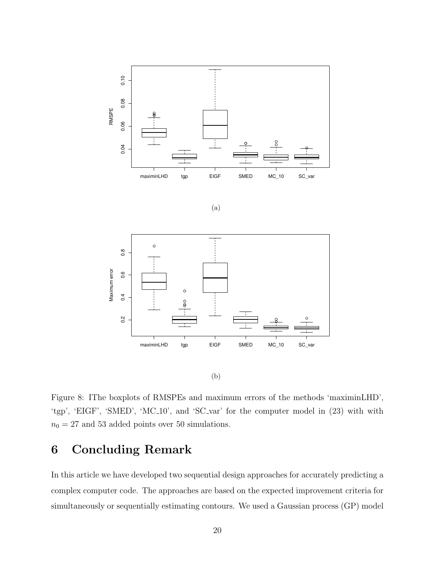





(b)

Figure 8: IThe boxplots of RMSPEs and maximum errors of the methods 'maximinLHD', 'tgp', 'EIGF', 'SMED', 'MC 10', and 'SC var' for the computer model in (23) with with  $n_0=27$  and  $53$  added points over  $50$  simulations.

## 6 Concluding Remark

In this article we have developed two sequential design approaches for accurately predicting a complex computer code. The approaches are based on the expected improvement criteria for simultaneously or sequentially estimating contours. We used a Gaussian process (GP) model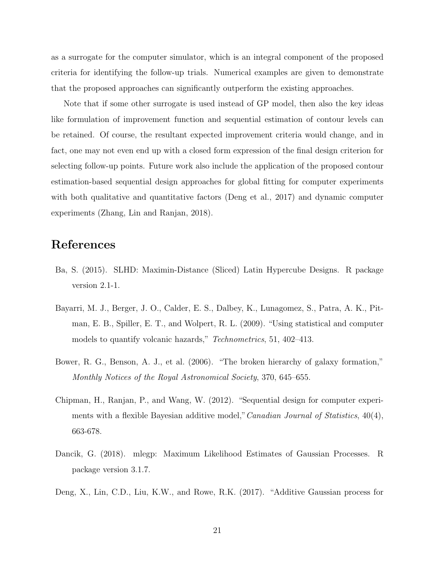as a surrogate for the computer simulator, which is an integral component of the proposed criteria for identifying the follow-up trials. Numerical examples are given to demonstrate that the proposed approaches can significantly outperform the existing approaches.

Note that if some other surrogate is used instead of GP model, then also the key ideas like formulation of improvement function and sequential estimation of contour levels can be retained. Of course, the resultant expected improvement criteria would change, and in fact, one may not even end up with a closed form expression of the final design criterion for selecting follow-up points. Future work also include the application of the proposed contour estimation-based sequential design approaches for global fitting for computer experiments with both qualitative and quantitative factors (Deng et al., 2017) and dynamic computer experiments (Zhang, Lin and Ranjan, 2018).

## References

- Ba, S. (2015). SLHD: Maximin-Distance (Sliced) Latin Hypercube Designs. R package version 2.1-1.
- Bayarri, M. J., Berger, J. O., Calder, E. S., Dalbey, K., Lunagomez, S., Patra, A. K., Pitman, E. B., Spiller, E. T., and Wolpert, R. L. (2009). "Using statistical and computer models to quantify volcanic hazards," Technometrics, 51, 402–413.
- Bower, R. G., Benson, A. J., et al. (2006). "The broken hierarchy of galaxy formation," Monthly Notices of the Royal Astronomical Society, 370, 645–655.
- Chipman, H., Ranjan, P., and Wang, W. (2012). "Sequential design for computer experiments with a flexible Bayesian additive model," *Canadian Journal of Statistics*, 40(4), 663-678.
- Dancik, G. (2018). mlegp: Maximum Likelihood Estimates of Gaussian Processes. R package version 3.1.7.
- Deng, X., Lin, C.D., Liu, K.W., and Rowe, R.K. (2017). "Additive Gaussian process for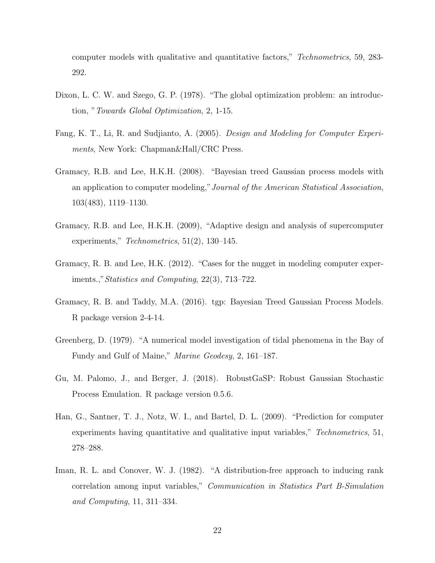computer models with qualitative and quantitative factors," Technometrics, 59, 283- 292.

- Dixon, L. C. W. and Szego, G. P. (1978). "The global optimization problem: an introduction, "Towards Global Optimization, 2, 1-15.
- Fang, K. T., Li, R. and Sudjianto, A. (2005). Design and Modeling for Computer Experiments, New York: Chapman&Hall/CRC Press.
- Gramacy, R.B. and Lee, H.K.H. (2008). "Bayesian treed Gaussian process models with an application to computer modeling,"Journal of the American Statistical Association, 103(483), 1119–1130.
- Gramacy, R.B. and Lee, H.K.H. (2009), "Adaptive design and analysis of supercomputer experiments," Technometrics, 51(2), 130–145.
- Gramacy, R. B. and Lee, H.K. (2012). "Cases for the nugget in modeling computer experiments.,"Statistics and Computing, 22(3), 713–722.
- Gramacy, R. B. and Taddy, M.A. (2016). tgp: Bayesian Treed Gaussian Process Models. R package version 2-4-14.
- Greenberg, D. (1979). "A numerical model investigation of tidal phenomena in the Bay of Fundy and Gulf of Maine," Marine Geodesy, 2, 161–187.
- Gu, M. Palomo, J., and Berger, J. (2018). RobustGaSP: Robust Gaussian Stochastic Process Emulation. R package version 0.5.6.
- Han, G., Santner, T. J., Notz, W. I., and Bartel, D. L. (2009). "Prediction for computer experiments having quantitative and qualitative input variables," Technometrics, 51, 278–288.
- Iman, R. L. and Conover, W. J. (1982). "A distribution-free approach to inducing rank correlation among input variables," Communication in Statistics Part B-Simulation and Computing, 11, 311–334.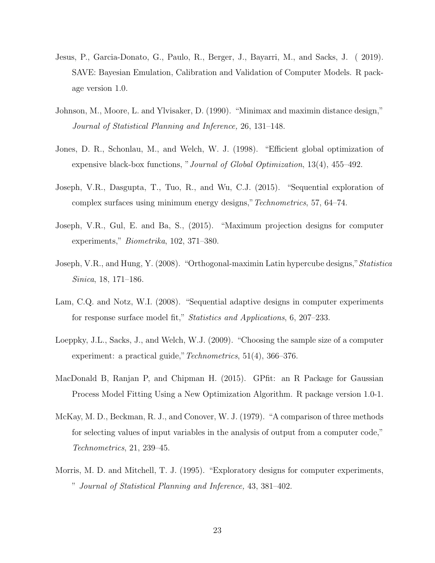- Jesus, P., Garcia-Donato, G., Paulo, R., Berger, J., Bayarri, M., and Sacks, J. ( 2019). SAVE: Bayesian Emulation, Calibration and Validation of Computer Models. R package version 1.0.
- Johnson, M., Moore, L. and Ylvisaker, D. (1990). "Minimax and maximin distance design," Journal of Statistical Planning and Inference, 26, 131–148.
- Jones, D. R., Schonlau, M., and Welch, W. J. (1998). "Efficient global optimization of expensive black-box functions, "Journal of Global Optimization, 13(4), 455–492.
- Joseph, V.R., Dasgupta, T., Tuo, R., and Wu, C.J. (2015). "Sequential exploration of complex surfaces using minimum energy designs,"Technometrics, 57, 64–74.
- Joseph, V.R., Gul, E. and Ba, S., (2015). "Maximum projection designs for computer experiments," Biometrika, 102, 371–380.
- Joseph, V.R., and Hung, Y. (2008). "Orthogonal-maximin Latin hypercube designs,"Statistica Sinica, 18, 171–186.
- Lam, C.Q. and Notz, W.I. (2008). "Sequential adaptive designs in computer experiments for response surface model fit," Statistics and Applications, 6, 207–233.
- Loeppky, J.L., Sacks, J., and Welch, W.J. (2009). "Choosing the sample size of a computer experiment: a practical guide," *Technometrics*, 51(4), 366–376.
- MacDonald B, Ranjan P, and Chipman H. (2015). GPfit: an R Package for Gaussian Process Model Fitting Using a New Optimization Algorithm. R package version 1.0-1.
- McKay, M. D., Beckman, R. J., and Conover, W. J. (1979). "A comparison of three methods for selecting values of input variables in the analysis of output from a computer code," Technometrics, 21, 239–45.
- Morris, M. D. and Mitchell, T. J. (1995). "Exploratory designs for computer experiments, " Journal of Statistical Planning and Inference, 43, 381–402.